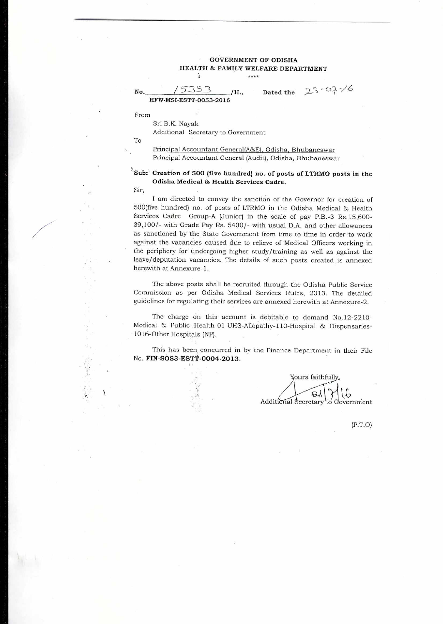#### GOVERNMENT OF ODISHA HEALTH & FAMILY WELFARE DEPARTMENT à \*\*\*\*

No.  $/5353$  /H., Dated the 23-07-16 **HFW-MSI-ESTT-0053-2016** 

From

Sri B.K. Nayak Additional Secretary to Government

 $\lambda$ 

To

Principal Accountant General(A&E), Odisha, Bhubaneswar Principal Accountant General (Audit), Odisha, Bhubaneswar

# **Sub: Creation of 500 (five hundred) no. of** posts **of** LTRMO posts in the **Odisha Medical & Health Services Cadre.**

Sir,

J

I am directed to convey the sanction of the Governor for creation of 500(five hundred) no. of posts of LTRMO in the Odisha Medical & Health Services Cadre Group-A (Junior) in the scale of pay P.B.-3 Rs.15,600- 39,100/- with Grade Pay Rs. 5400/- with usual D.A. and other allowances as sanctioned by the State Government from time to time in order to work against the vacancies caused due to relieve of Medical Officers working in the periphery for undergoing higher study/ training as well as against the leave/deputation vacancies. The details of such posts created is annexed herewith at Annexure-1.

The above posts shall be recruited through the Odisha Public Service Commission as per Odisha Medical Services Rules, 2013. The detailed guidelines for regulating their services are annexed herewith at Annexure-2.

The charge on this account is debitable to demand No.12-2210- Medical & Public Health-01-UHS-Allopathy-110-Hospital & Dispensaries-1016-Other Hospitals (NP).

This has been concurred in by the Finance Department in their File No. FIN-SOS3-ESTT-0004-2013.

Yours faithfully, taA Additional Secretary to Government

(P.T.0)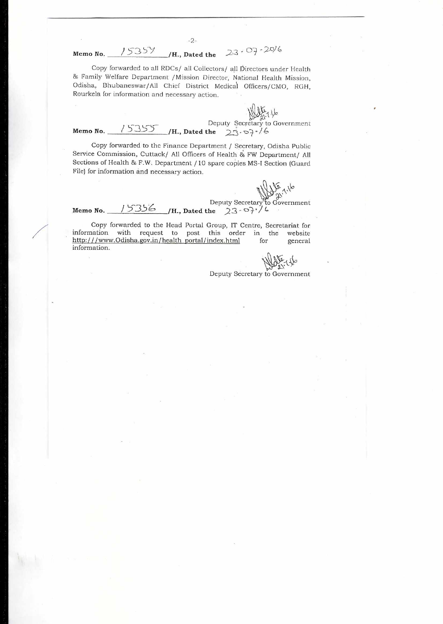Copy forwarded to all RDCs/ all Collectors/ all Directors under Health & Family Welfare Department /Mission Director, National Health Mission, Odisha, Bhubaneswar/All Chief District Medical Officers/CMO, RGH, Rourkela for information and necessary action.

-2-

**Memo No.** 15354 /H., Dated the  $23.07 - 20/6$ 

**Memo No.**  Deputy Secretary to Government<br>15333 **/H., Dated the** 23.07.16

Copy forwarded to the Finance Department / Secretary, Odisha Public Service Commission, Cuttack/ All Officers of Health & FW Department/ All Sections of Health & F.W. Department / 10 spare copies MS-I Section (Guard File} for information and necessary action.

Deputy Secretary to Government<br>Memo **No.** 15356 /H., Dated the 23-07<sup>-16</sup>

Copy forwarded to the Head Portal Group, IT Centre, Secretariat for information with request to post this order in the http:///www.Odisha.gov.in/health\_portal/index.html for general information.

Deputy Secretary to Government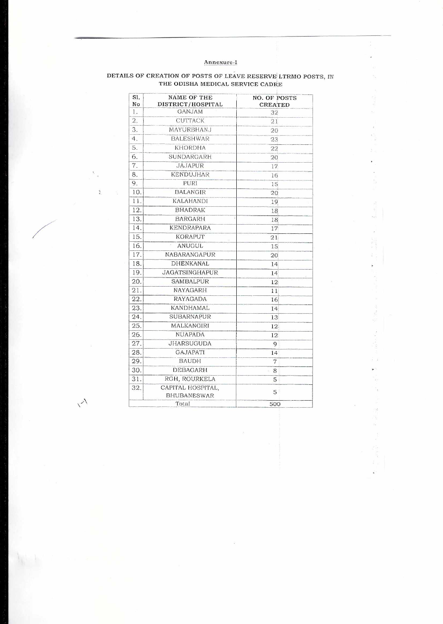## Annexure-I

.,

 $\overline{E_{\rm i}}$  $\frac{\kappa^2}{3}$ 

 $\kappa^+$  $\widetilde{\mathcal{M}}$ 

 $\frac{1}{\omega_{\rm{IR}}}$ 

er)  $\overline{\mathcal{E}}$ 

 $\ddot{\phantom{0}}$ 

 $\tilde{y}$ 

 $\frac{d}{dt}$  . The set

 $\begin{array}{l} \theta_{\rm{max}} \\ \psi_{\rm{max}} \geq 0.5 \end{array}$ 

 $\hat{\mathcal{G}}$  ,  $\hat{\mathcal{G}}$  $\blacktriangleright$  $\frac{1}{2}$  $\frac{12}{12}$ 

# DETAILS OF CREATION OF POSTS OF LEAVE RESERVE LTRMO POSTS, IN THE ODISHA MEDICAL SERVICE CADRE

| S1.<br>No | <b>NAME OF THE</b><br>DISTRICT/HOSPITAL | <b>NO. OF POSTS</b><br><b>CREATED</b> |
|-----------|-----------------------------------------|---------------------------------------|
| 1.        | <b>GANJAM</b>                           | 32                                    |
| 2.        | <b>CUTTACK</b>                          | 21                                    |
| 3.        | MAYURBHANJ                              | 20                                    |
| 4.        | <b>BALESHWAR</b>                        | 23                                    |
| 5.        | <b>KHORDHA</b>                          | 22                                    |
| 6.        | SUNDARGARH                              | 20                                    |
| 7.        | <b>JAJAPUR</b>                          | 17                                    |
| 8.        | <b>KENDUJHAR</b>                        | 16                                    |
| 9.        | PURI                                    | 15                                    |
| 10.       | <b>BALANGIR</b>                         | 20                                    |
| 11.       | <b>KALAHANDI</b>                        | 19                                    |
| 12.       | <b>BHADRAK</b>                          | 18                                    |
| 13.       | <b>BARGARH</b>                          | 18                                    |
| 14.       | <b>KENDRAPARA</b>                       | 17                                    |
| 15.       | <b>KORAPUT</b>                          | 21                                    |
| 16.       | ¢,<br><b>ANUGUL</b>                     | 15                                    |
| 17.       | NABARANGAPUR                            | 20                                    |
| 18.       | <b>DHENKANAL</b>                        | 14                                    |
| 19.       | <b>JAGATSINGHAPUR</b>                   | 14                                    |
| 20.       | <b>SAMBALPUR</b>                        | 12                                    |
| 21.       | NAYAGARH                                | 11                                    |
| 22.       | <b>RAYAGADA</b>                         | 16                                    |
| 23.       | <b>KANDHAMAL</b>                        | 14                                    |
| 24.       | SUBARNAPUR                              | 13                                    |
| 25.       | MALKANGIRI                              | 12                                    |
| 26.       | <b>NUAPADA</b>                          | 12                                    |
| 27.       | <b>JHARSUGUDA</b>                       | 9                                     |
| 28.       | <b>GAJAPATI</b>                         | 14                                    |
| 29.       | <b>BAUDH</b>                            | 7                                     |
| 30.       | <b>DEBAGARH</b>                         | 8                                     |
| 31.       | RGH, ROURKELA                           | 5                                     |
| 32.       | CAPITAL HOSPITAL.<br><b>BHUBANESWAR</b> | 5                                     |
| Total     |                                         | 500                                   |

 $\sim$ 

 $\ddot{\phantom{a}}$ 

 $\frac{\partial}{\partial x}$